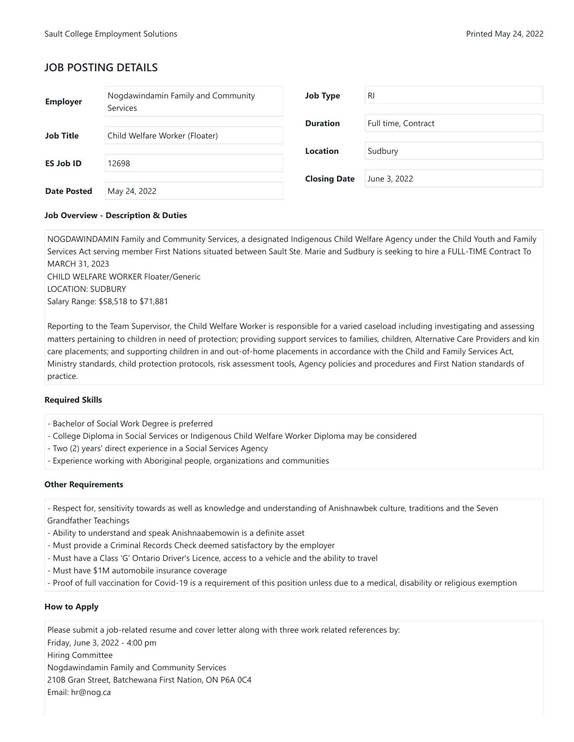# **JOB POSTING DETAILS**

| <b>Employer</b>    | Nogdawindamin Family and Community<br><b>Services</b> | <b>Job Type</b>     | <b>RI</b>           |
|--------------------|-------------------------------------------------------|---------------------|---------------------|
|                    |                                                       | <b>Duration</b>     | Full time, Contract |
| <b>Job Title</b>   | Child Welfare Worker (Floater)                        |                     |                     |
|                    |                                                       | <b>Location</b>     | Sudbury             |
| <b>ES Job ID</b>   | 12698                                                 |                     |                     |
|                    |                                                       | <b>Closing Date</b> | June 3, 2022        |
| <b>Date Posted</b> | May 24, 2022                                          |                     |                     |

### **Job Overview - Description & Duties**

NOGDAWINDAMIN Family and Community Services, a designated Indigenous Child Welfare Agency under the Child Youth and Family Services Act serving member First Nations situated between Sault Ste. Marie and Sudbury is seeking to hire a FULL-TIME Contract To MARCH 31, 2023 CHILD WELFARE WORKER Floater/Generic LOCATION: SUDBURY Salary Range: \$58,518 to \$71,881

Reporting to the Team Supervisor, the Child Welfare Worker is responsible for a varied caseload including investigating and assessing matters pertaining to children in need of protection; providing support services to families, children, Alternative Care Providers and kin care placements; and supporting children in and out-of-home placements in accordance with the Child and Family Services Act, Ministry standards, child protection protocols, risk assessment tools, Agency policies and procedures and First Nation standards of practice.

## **Required Skills**

- Bachelor of Social Work Degree is preferred
- College Diploma in Social Services or Indigenous Child Welfare Worker Diploma may be considered
- Two (2) years' direct experience in a Social Services Agency
- Experience working with Aboriginal people, organizations and communities

## **Other Requirements**

- Respect for, sensitivity towards as well as knowledge and understanding of Anishnawbek culture, traditions and the Seven Grandfather Teachings

- Ability to understand and speak Anishnaabemowin is a definite asset
- Must provide a Criminal Records Check deemed satisfactory by the employer
- Must have a Class 'G' Ontario Driver's Licence, access to a vehicle and the ability to travel
- Must have \$1M automobile insurance coverage
- Proof of full vaccination for Covid-19 is a requirement of this position unless due to a medical, disability or religious exemption

## **How to Apply**

Please submit a job-related resume and cover letter along with three work related references by: Friday, June 3, 2022 - 4:00 pm Hiring Committee Nogdawindamin Family and Community Services 210B Gran Street, Batchewana First Nation, ON P6A 0C4 Email: hr@nog.ca